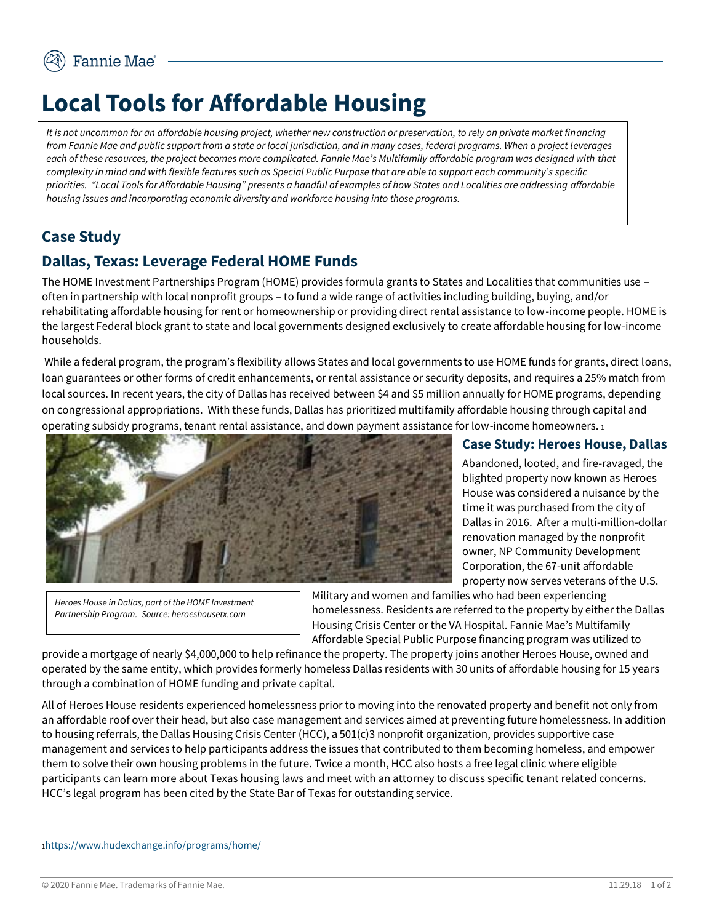# **Local Tools for Affordable Housing**

*It is not uncommon for an affordable housing project, whether new construction or preservation, to rely on private market financing from Fannie Mae and public support from a state or local jurisdiction, and in many cases, federal programs. When a project leverages each of these resources, the project becomes more complicated. Fannie Mae's Multifamily affordable program was designed with that complexity in mind and with flexible features such as Special Public Purpose that are able to support each community's specific priorities. "Local Tools for Affordable Housing" presents a handful of examples of how States and Localities are addressing affordable housing issues and incorporating economic diversity and workforce housing into those programs.* 

## **Case Study**

## **Dallas, Texas: Leverage Federal HOME Funds**

The HOME Investment Partnerships Program (HOME) provides formula grants to States and Localities that communities use – often in partnership with local nonprofit groups – to fund a wide range of activities including building, buying, and/or rehabilitating affordable housing for rent or homeownership or providing direct rental assistance to low-income people. HOME is the largest Federal block grant to state and local governments designed exclusively to create affordable housing for low-income households.

While a federal program, the program's flexibility allows States and local governments to use HOME funds for grants, direct loans, loan guarantees or other forms of credit enhancements, or rental assistance or security deposits, and requires a 25% match from local sources. In recent years, the city of Dallas has received between \$4 and \$5 million annually for HOME programs, depending on congressional appropriations. With these funds, Dallas has prioritized multifamily affordable housing through capital and operating subsidy programs, tenant rental assistance, and down payment assistance for low-income homeowners. <sup>1</sup>



### **Case Study: Heroes House, Dallas**

Abandoned, looted, and fire-ravaged, the blighted property now known as Heroes House was considered a nuisance by the time it was purchased from the city of Dallas in 2016. After a multi-million-dollar renovation managed by the nonprofit owner, NP Community Development Corporation, the 67-unit affordable property now serves veterans of the U.S.

*Heroes House in Dallas, part of the HOME Investment Partnership Program. Source: heroeshousetx.com* 

Military and women and families who had been experiencing homelessness. Residents are referred to the property by either the Dallas Housing Crisis Center or the VA Hospital. Fannie Mae's Multifamily Affordable Special Public Purpose financing program was utilized to

provide a mortgage of nearly \$4,000,000 to help refinance the property. The property joins another Heroes House, owned and operated by the same entity, which provides formerly homeless Dallas residents with 30 units of affordable housing for 15 years through a combination of HOME funding and private capital.

All of Heroes House residents experienced homelessness prior to moving into the renovated property and benefit not only from an affordable roof over their head, but also case management and services aimed at preventing future homelessness. In addition to housing referrals, the Dallas Housing Crisis Center (HCC), a 501(c)3 nonprofit organization, provides supportive case management and services to help participants address the issues that contributed to them becoming homeless, and empower them to solve their own housing problems in the future. Twice a month, HCC also hosts a free legal clinic where eligible participants can learn more about Texas housing laws and meet with an attorney to discuss specific tenant related concerns. HCC's legal program has been cited by the State Bar of Texas for outstanding service.